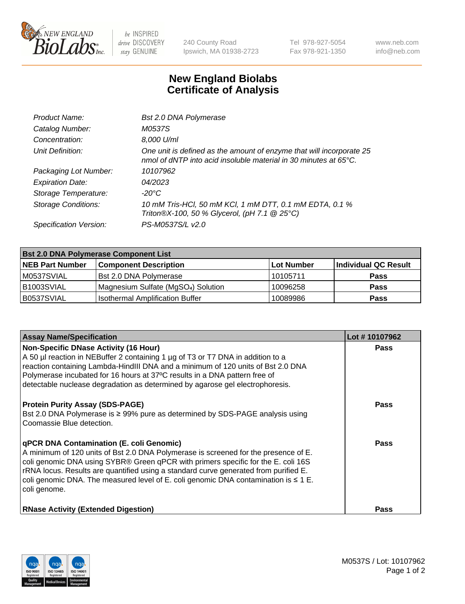

 $be$  INSPIRED drive DISCOVERY stay GENUINE

240 County Road Ipswich, MA 01938-2723 Tel 978-927-5054 Fax 978-921-1350 www.neb.com info@neb.com

## **New England Biolabs Certificate of Analysis**

| Product Name:              | Bst 2.0 DNA Polymerase                                                                                                                   |
|----------------------------|------------------------------------------------------------------------------------------------------------------------------------------|
| Catalog Number:            | M0537S                                                                                                                                   |
| Concentration:             | 8,000 U/ml                                                                                                                               |
| Unit Definition:           | One unit is defined as the amount of enzyme that will incorporate 25<br>nmol of dNTP into acid insoluble material in 30 minutes at 65°C. |
| Packaging Lot Number:      | 10107962                                                                                                                                 |
| <b>Expiration Date:</b>    | 04/2023                                                                                                                                  |
| Storage Temperature:       | -20°C                                                                                                                                    |
| <b>Storage Conditions:</b> | 10 mM Tris-HCl, 50 mM KCl, 1 mM DTT, 0.1 mM EDTA, 0.1 %<br>Triton®X-100, 50 % Glycerol, (pH 7.1 @ 25°C)                                  |
| Specification Version:     | PS-M0537S/L v2.0                                                                                                                         |

| <b>Bst 2.0 DNA Polymerase Component List</b> |                                                 |            |                      |  |  |
|----------------------------------------------|-------------------------------------------------|------------|----------------------|--|--|
| <b>NEB Part Number</b>                       | <b>Component Description</b>                    | Lot Number | Individual QC Result |  |  |
| M0537SVIAL                                   | Bst 2.0 DNA Polymerase                          | 10105711   | <b>Pass</b>          |  |  |
| B <sub>1003</sub> SVIAL                      | Magnesium Sulfate (MgSO <sub>4</sub> ) Solution | 10096258   | <b>Pass</b>          |  |  |
| B0537SVIAL                                   | <b>Isothermal Amplification Buffer</b>          | 10089986   | <b>Pass</b>          |  |  |

| <b>Assay Name/Specification</b>                                                                                                                                                                                                                                                                                                                                                                                                 | Lot #10107962 |
|---------------------------------------------------------------------------------------------------------------------------------------------------------------------------------------------------------------------------------------------------------------------------------------------------------------------------------------------------------------------------------------------------------------------------------|---------------|
| <b>Non-Specific DNase Activity (16 Hour)</b><br>A 50 µl reaction in NEBuffer 2 containing 1 µg of T3 or T7 DNA in addition to a<br>reaction containing Lambda-HindIII DNA and a minimum of 120 units of Bst 2.0 DNA<br>Polymerase incubated for 16 hours at 37°C results in a DNA pattern free of<br>detectable nuclease degradation as determined by agarose gel electrophoresis.                                              | Pass          |
| <b>Protein Purity Assay (SDS-PAGE)</b><br>Bst 2.0 DNA Polymerase is ≥ 99% pure as determined by SDS-PAGE analysis using<br>Coomassie Blue detection.                                                                                                                                                                                                                                                                            | Pass          |
| <b>qPCR DNA Contamination (E. coli Genomic)</b><br>A minimum of 120 units of Bst 2.0 DNA Polymerase is screened for the presence of E.<br>coli genomic DNA using SYBR® Green qPCR with primers specific for the E. coli 16S<br>rRNA locus. Results are quantified using a standard curve generated from purified E.<br>coli genomic DNA. The measured level of E. coli genomic DNA contamination is $\leq 1$ E.<br>coli genome. | <b>Pass</b>   |
| <b>RNase Activity (Extended Digestion)</b>                                                                                                                                                                                                                                                                                                                                                                                      | Pass          |